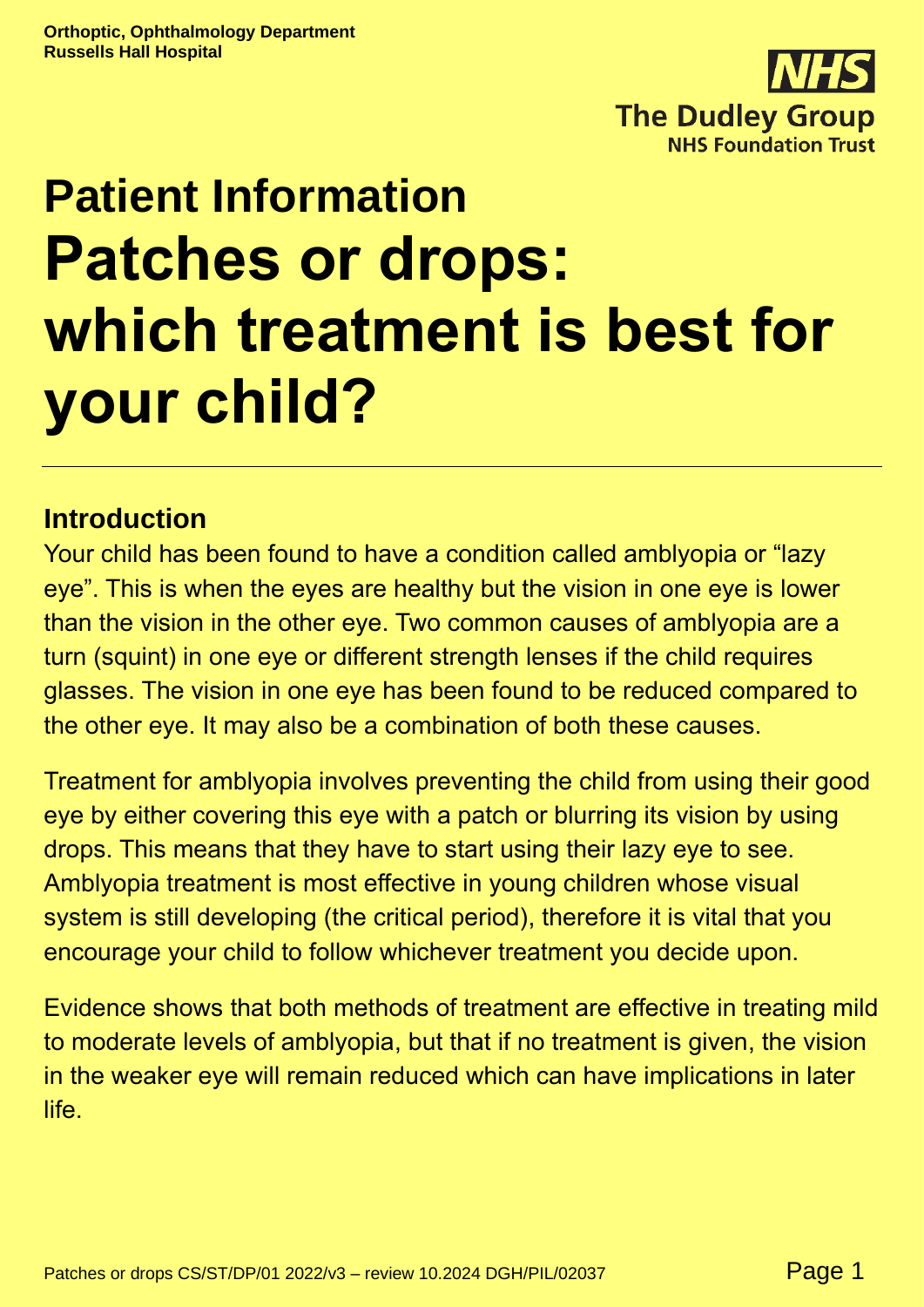

# **Patient Information Patches or drops: which treatment is best for your child?**

## **Introduction**

Your child has been found to have a condition called amblyopia or "lazy eye". This is when the eyes are healthy but the vision in one eye is lower than the vision in the other eye. Two common causes of amblyopia are a turn (squint) in one eye or different strength lenses if the child requires glasses. The vision in one eye has been found to be reduced compared to the other eye. It may also be a combination of both these causes.

Treatment for amblyopia involves preventing the child from using their good eye by either covering this eye with a patch or blurring its vision by using drops. This means that they have to start using their lazy eye to see. Amblyopia treatment is most effective in young children whose visual system is still developing (the critical period), therefore it is vital that you encourage your child to follow whichever treatment you decide upon.

Evidence shows that both methods of treatment are effective in treating mild to moderate levels of amblyopia, but that if no treatment is given, the vision in the weaker eye will remain reduced which can have implications in later life.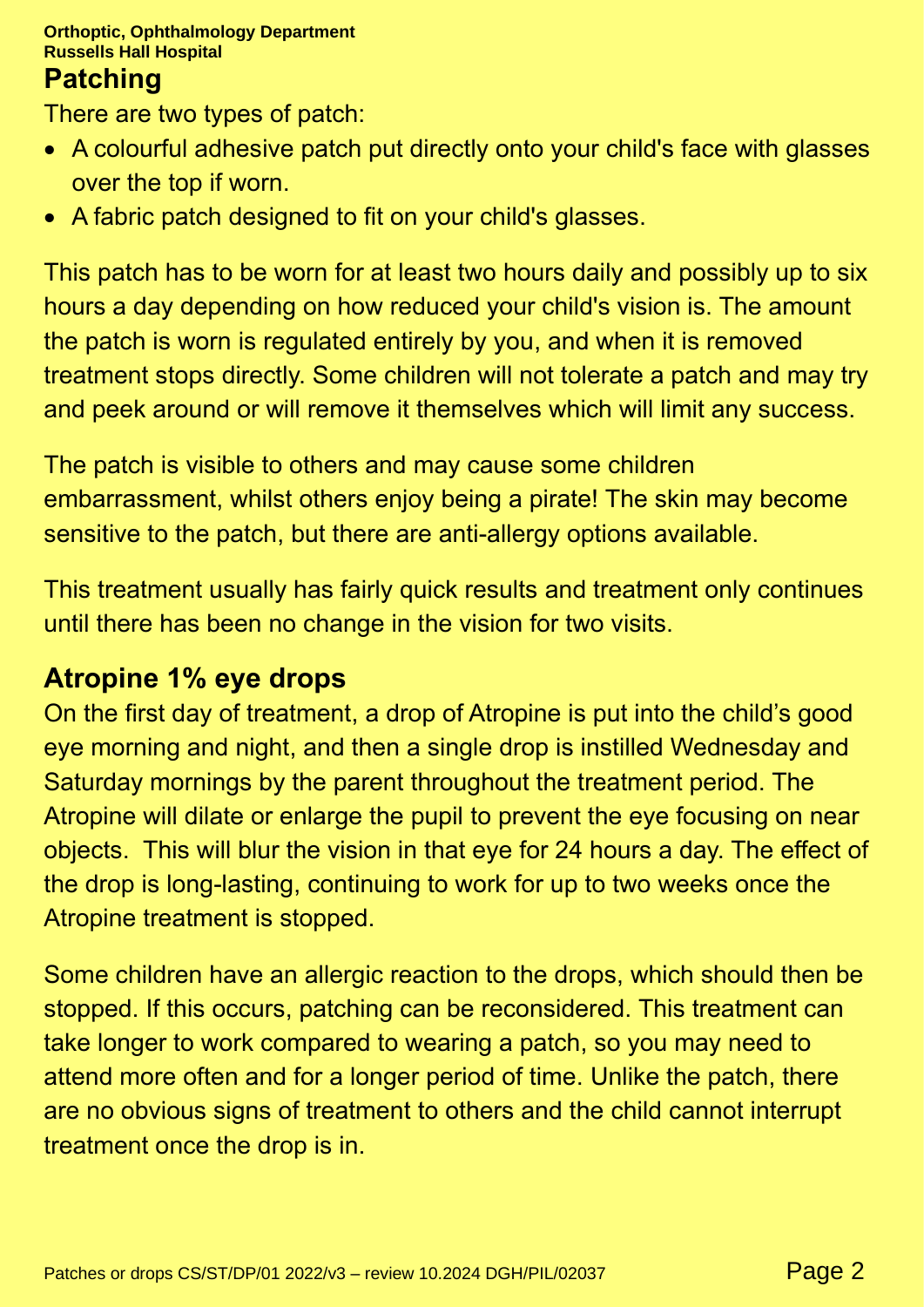#### **Orthoptic, Ophthalmology Department Russells Hall Hospital**

#### **Patching**

There are two types of patch:

- A colourful adhesive patch put directly onto your child's face with glasses over the top if worn.
- A fabric patch designed to fit on your child's glasses.

This patch has to be worn for at least two hours daily and possibly up to six hours a day depending on how reduced your child's vision is. The amount the patch is worn is regulated entirely by you, and when it is removed treatment stops directly. Some children will not tolerate a patch and may try and peek around or will remove it themselves which will limit any success.

The patch is visible to others and may cause some children embarrassment, whilst others enjoy being a pirate! The skin may become sensitive to the patch, but there are anti-allergy options available.

This treatment usually has fairly quick results and treatment only continues until there has been no change in the vision for two visits.

### **Atropine 1% eye drops**

On the first day of treatment, a drop of Atropine is put into the child's good eye morning and night, and then a single drop is instilled Wednesday and Saturday mornings by the parent throughout the treatment period. The Atropine will dilate or enlarge the pupil to prevent the eye focusing on near objects. This will blur the vision in that eye for 24 hours a day. The effect of the drop is long-lasting, continuing to work for up to two weeks once the Atropine treatment is stopped.

Some children have an allergic reaction to the drops, which should then be stopped. If this occurs, patching can be reconsidered. This treatment can take longer to work compared to wearing a patch, so you may need to attend more often and for a longer period of time. Unlike the patch, there are no obvious signs of treatment to others and the child cannot interrupt treatment once the drop is in.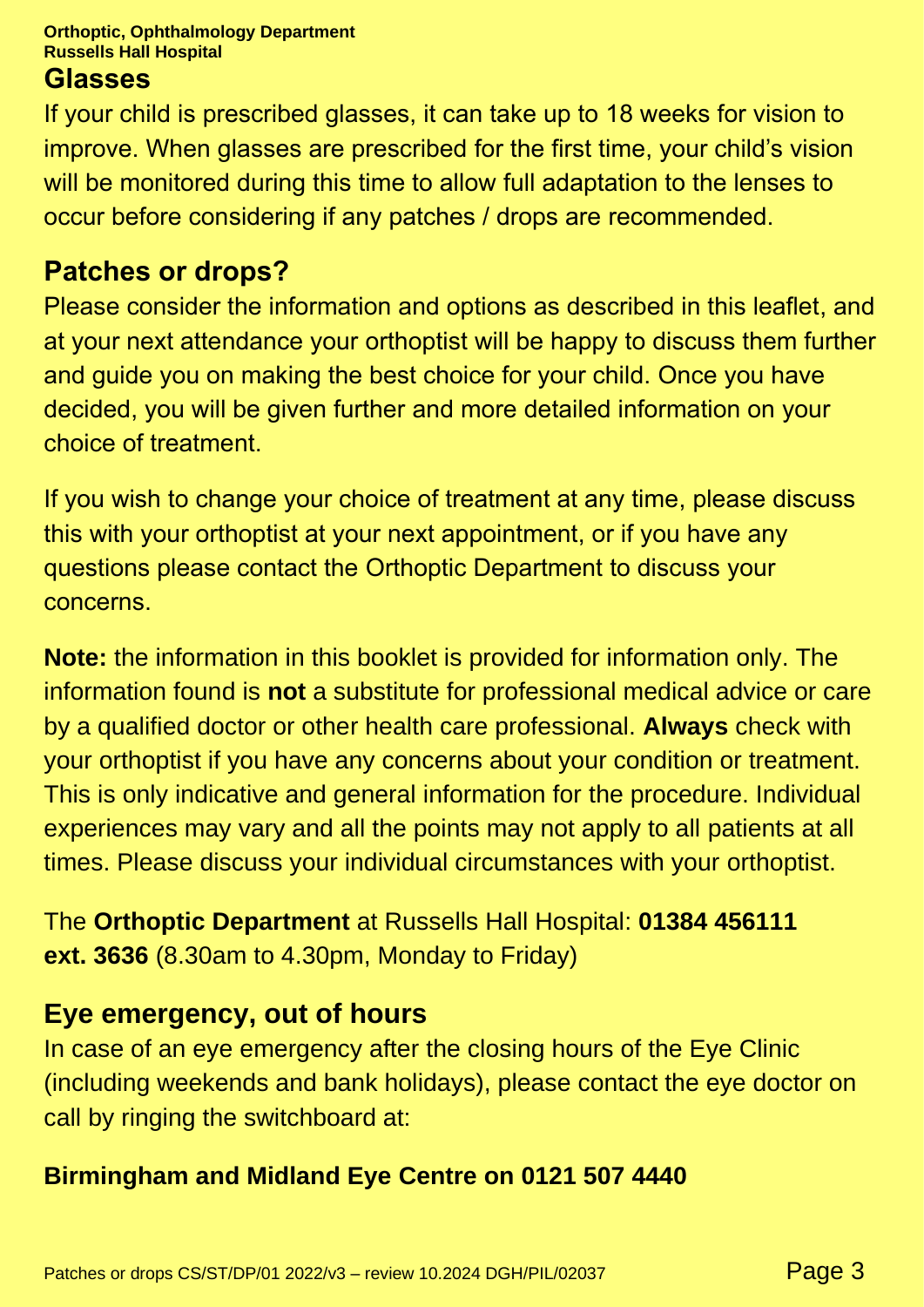#### **Orthoptic, Ophthalmology Department Russells Hall Hospital**

#### **Glasses**

If your child is prescribed glasses, it can take up to 18 weeks for vision to improve. When glasses are prescribed for the first time, your child's vision will be monitored during this time to allow full adaptation to the lenses to occur before considering if any patches / drops are recommended.

### **Patches or drops?**

Please consider the information and options as described in this leaflet, and at your next attendance your orthoptist will be happy to discuss them further and guide you on making the best choice for your child. Once you have decided, you will be given further and more detailed information on your choice of treatment.

If you wish to change your choice of treatment at any time, please discuss this with your orthoptist at your next appointment, or if you have any questions please contact the Orthoptic Department to discuss your concerns.

**Note:** the information in this booklet is provided for information only. The information found is **not** a substitute for professional medical advice or care by a qualified doctor or other health care professional. **Always** check with your orthoptist if you have any concerns about your condition or treatment. This is only indicative and general information for the procedure. Individual experiences may vary and all the points may not apply to all patients at all times. Please discuss your individual circumstances with your orthoptist.

The **Orthoptic Department** at Russells Hall Hospital: **01384 456111 ext. 3636** (8.30am to 4.30pm, Monday to Friday)

# **Eye emergency, out of hours**

In case of an eye emergency after the closing hours of the Eye Clinic (including weekends and bank holidays), please contact the eye doctor on call by ringing the switchboard at:

### **Birmingham and Midland Eye Centre on 0121 507 4440**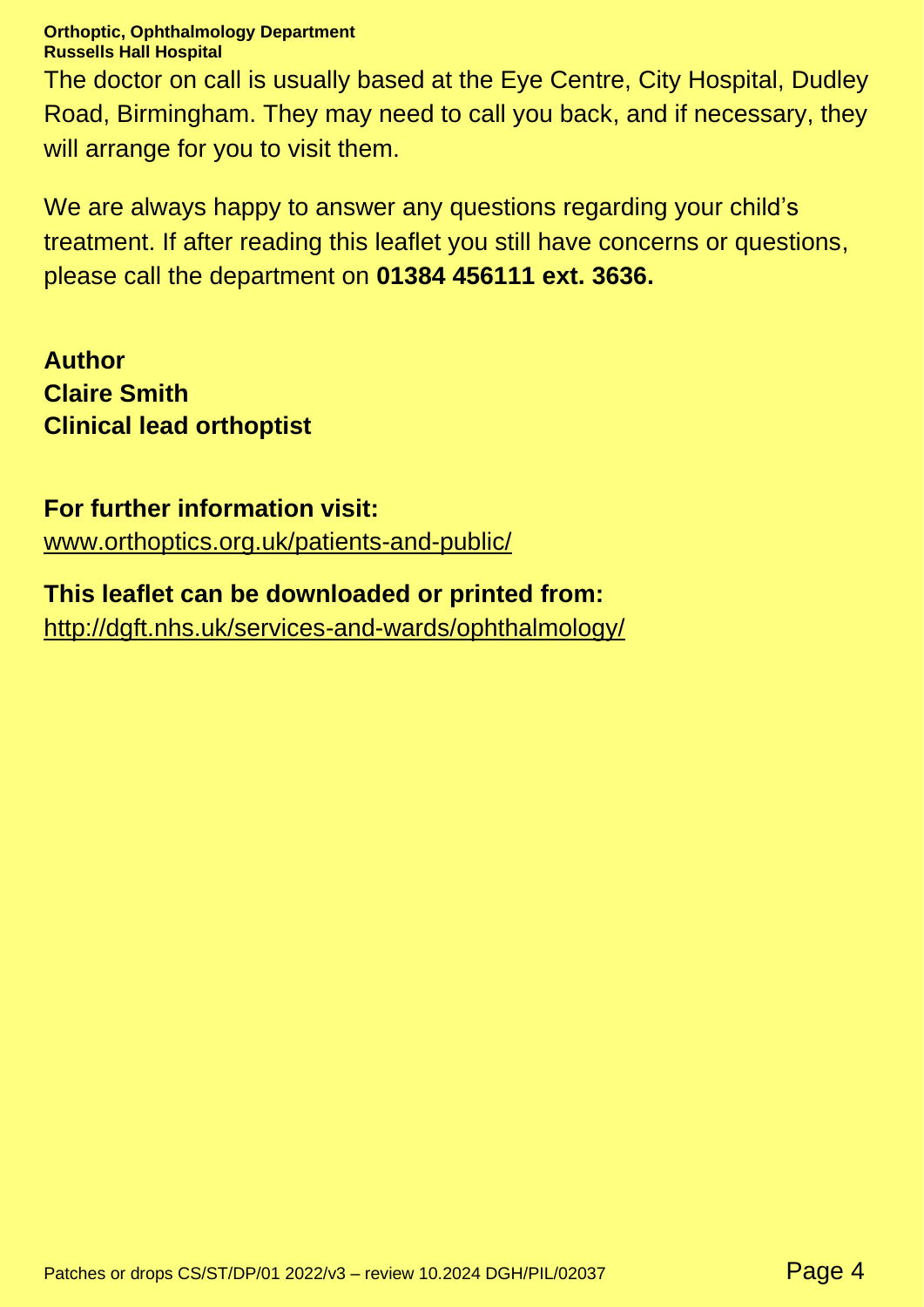#### **Orthoptic, Ophthalmology Department Russells Hall Hospital**

The doctor on call is usually based at the Eye Centre, City Hospital, Dudley Road, Birmingham. They may need to call you back, and if necessary, they will arrange for you to visit them.

We are always happy to answer any questions regarding your child's treatment. If after reading this leaflet you still have concerns or questions, please call the department on **01384 456111 ext. 3636.**

**Author Claire Smith Clinical lead orthoptist**

#### **For further information visit:**

[www.orthoptics.org.uk/patients-and-public/](https://www.orthoptics.org.uk/patients-and-public/)

#### **This leaflet can be downloaded or printed from:**

<http://dgft.nhs.uk/services-and-wards/ophthalmology/>